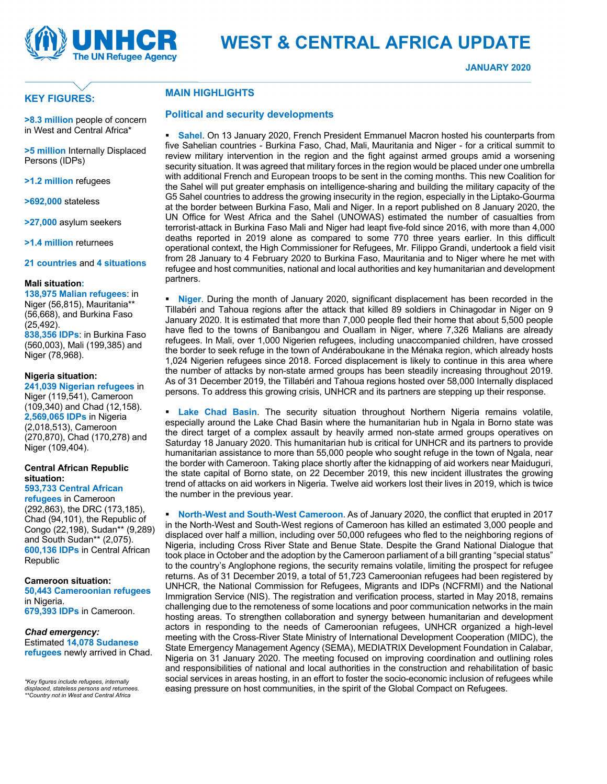

# **KEY FIGURES:**

**>8.3 million** people of concern in West and Central Africa\*

**>5 million** Internally Displaced Persons (IDPs)

**>1.2 million** refugees

**>692,000** stateless

**>27,000** asylum seekers

**>1.4 million** returnees

**21 countries** and **4 situations**

#### **Mali situation:**

**138,975 Malian refugees**: in Niger (56,815), Mauritania\*\* (56,668), and Burkina Faso (25,492). **838,356 IDPs**: in Burkina Faso (560,003), Mali (199,385) and Niger (78,968).

#### **Nigeria situation:**

**241,039 Nigerian refugees** in Niger (119,541), Cameroon (109,340) and Chad (12,158). **2,569,065 IDPs** in Nigeria (2,018,513), Cameroon (270,870), Chad (170,278) and Niger (109,404).

### **Central African Republic situation:**

# **593,733 Central African**

**refugees** in Cameroon (292,863), the DRC (173,185), Chad (94,101), the Republic of Congo (22,198), Sudan\*\* (9,289) and South Sudan\*\* (2,075). **600,136 IDPs** in Central African Republic

**Cameroon situation: 50,443 Cameroonian refugees** in Nigeria. **679,393 IDPs** in Cameroon.

*Chad emergency:* Estimated **14,078 Sudanese refugees** newly arrived in Chad.

*\*Key figures include refugees, internally displaced, stateless persons and returnees. \*\*Country not in West and Central Africa*

## **MAIN HIGHLIGHTS**

### **Political and security developments**

§ **Sahel**. On 13 January 2020, French President Emmanuel Macron hosted his counterparts from five Sahelian countries - Burkina Faso, Chad, Mali, Mauritania and Niger - for a critical summit to review military intervention in the region and the fight against armed groups amid a worsening security situation. It was agreed that military forces in the region would be placed under one umbrella with additional French and European troops to be sent in the coming months. This new Coalition for the Sahel will put greater emphasis on intelligence-sharing and building the military capacity of the G5 Sahel countries to address the growing insecurity in the region, especially in the Liptako-Gourma at the border between Burkina Faso, Mali and Niger. In a report published on 8 January 2020, the UN Office for West Africa and the Sahel (UNOWAS) estimated the number of casualties from terrorist-attack in Burkina Faso Mali and Niger had leapt five-fold since 2016, with more than 4,000 deaths reported in 2019 alone as compared to some 770 three years earlier. In this difficult operational context, the High Commissioner for Refugees, Mr. Filippo Grandi, undertook a field visit from 28 January to 4 February 2020 to Burkina Faso, Mauritania and to Niger where he met with refugee and host communities, national and local authorities and key humanitarian and development partners.

**Niger.** During the month of January 2020, significant displacement has been recorded in the Tillabéri and Tahoua regions after the attack that killed 89 soldiers in Chinagodar in Niger on 9 January 2020. It is estimated that more than 7,000 people fled their home that about 5,500 people have fled to the towns of Banibangou and Ouallam in Niger, where 7,326 Malians are already refugees. In Mali, over 1,000 Nigerien refugees, including unaccompanied children, have crossed the border to seek refuge in the town of Andéraboukane in the Ménaka region, which already hosts 1,024 Nigerien refugees since 2018. Forced displacement is likely to continue in this area where the number of attacks by non-state armed groups has been steadily increasing throughout 2019. As of 31 December 2019, the Tillabéri and Tahoua regions hosted over 58,000 Internally displaced persons. To address this growing crisis, UNHCR and its partners are stepping up their response.

**• Lake Chad Basin.** The security situation throughout Northern Nigeria remains volatile, especially around the Lake Chad Basin where the humanitarian hub in Ngala in Borno state was the direct target of a complex assault by heavily armed non-state armed groups operatives on Saturday 18 January 2020. This humanitarian hub is critical for UNHCR and its partners to provide humanitarian assistance to more than 55,000 people who sought refuge in the town of Ngala, near the border with Cameroon. Taking place shortly after the kidnapping of aid workers near Maiduguri, the state capital of Borno state, on 22 December 2019, this new incident illustrates the growing trend of attacks on aid workers in Nigeria. Twelve aid workers lost their lives in 2019, which is twice the number in the previous year.

§ **North-West and South-West Cameroon**. As of January 2020, the conflict that erupted in 2017 in the North-West and South-West regions of Cameroon has killed an estimated 3,000 people and displaced over half a million, including over 50,000 refugees who fled to the neighboring regions of Nigeria, including Cross River State and Benue State. Despite the Grand National Dialogue that took place in October and the adoption by the Cameroon parliament of a bill granting "special status" to the country's Anglophone regions, the security remains volatile, limiting the prospect for refugee returns. As of 31 December 2019, a total of 51,723 Cameroonian refugees had been registered by UNHCR, the National Commission for Refugees, Migrants and IDPs (NCFRMI) and the National Immigration Service (NIS). The registration and verification process, started in May 2018, remains challenging due to the remoteness of some locations and poor communication networks in the main hosting areas. To strengthen collaboration and synergy between humanitarian and development actors in responding to the needs of Cameroonian refugees, UNHCR organized a high-level meeting with the Cross-River State Ministry of International Development Cooperation (MIDC), the State Emergency Management Agency (SEMA), MEDIATRIX Development Foundation in Calabar, Nigeria on 31 January 2020. The meeting focused on improving coordination and outlining roles and responsibilities of national and local authorities in the construction and rehabilitation of basic social services in areas hosting, in an effort to foster the socio-economic inclusion of refugees while easing pressure on host communities, in the spirit of the Global Compact on Refugees.